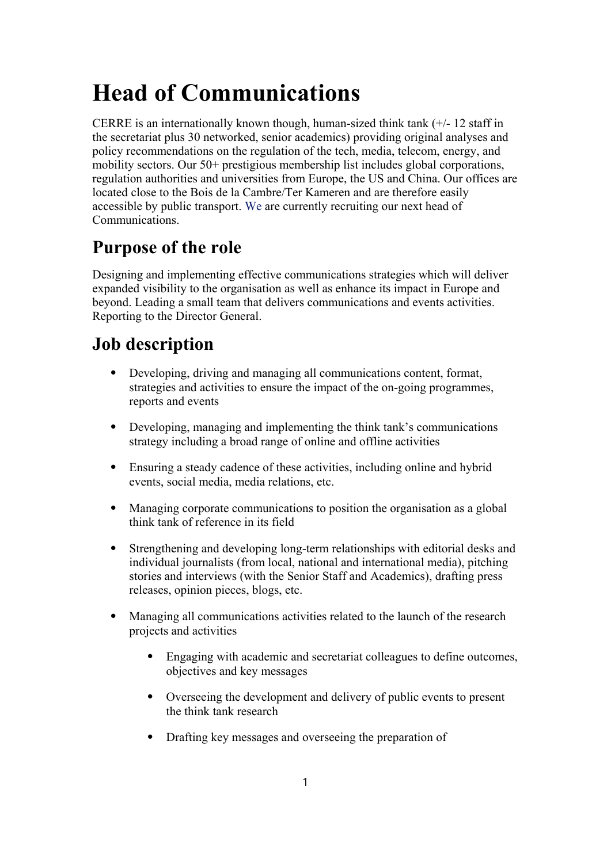# **Head of Communications**

CERRE is an internationally known though, human-sized think tank  $(+/- 12$  staff in the secretariat plus 30 networked, senior academics) providing original analyses and policy recommendations on the regulation of the tech, media, telecom, energy, and mobility sectors. Our 50+ prestigious membership list includes global corporations, regulation authorities and universities from Europe, the US and China. Our offices are located close to the Bois de la Cambre/Ter Kameren and are therefore easily accessible by public transport. We are currently recruiting our next head of Communications.

## **Purpose of the role**

Designing and implementing effective communications strategies which will deliver expanded visibility to the organisation as well as enhance its impact in Europe and beyond. Leading a small team that delivers communications and events activities. Reporting to the Director General.

## **Job description**

- ⦁ Developing, driving and managing all communications content, format, strategies and activities to ensure the impact of the on-going programmes, reports and events
- ⦁ Developing, managing and implementing the think tank's communications strategy including a broad range of online and offline activities
- ⦁ Ensuring a steady cadence of these activities, including online and hybrid events, social media, media relations, etc.
- ⦁ Managing corporate communications to position the organisation as a global think tank of reference in its field
- ⦁ Strengthening and developing long-term relationships with editorial desks and individual journalists (from local, national and international media), pitching stories and interviews (with the Senior Staff and Academics), drafting press releases, opinion pieces, blogs, etc.
- ⦁ Managing all communications activities related to the launch of the research projects and activities
	- ⦁ Engaging with academic and secretariat colleagues to define outcomes, objectives and key messages
	- ⦁ Overseeing the development and delivery of public events to present the think tank research
	- ⦁ Drafting key messages and overseeing the preparation of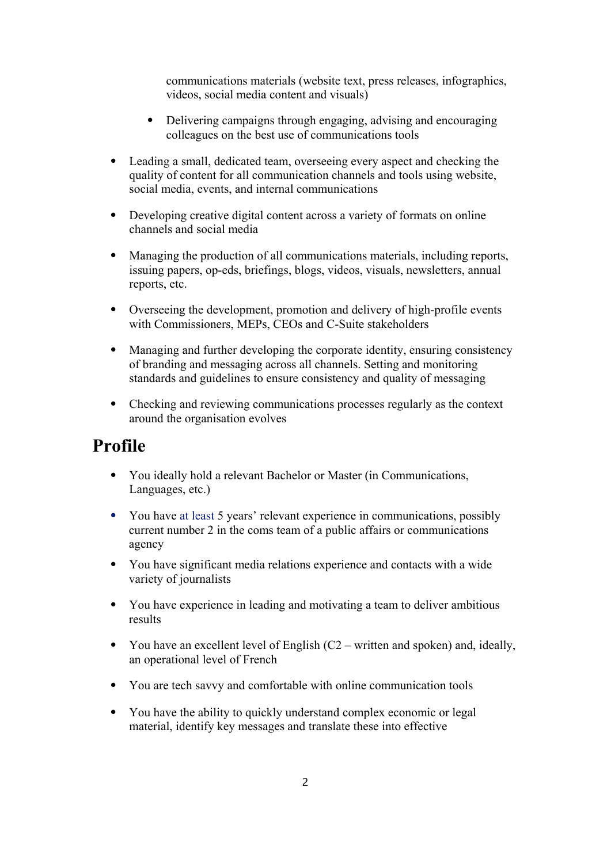communications materials (website text, press releases, infographics, videos, social media content and visuals)

- ⦁ Delivering campaigns through engaging, advising and encouraging colleagues on the best use of communications tools
- Leading a small, dedicated team, overseeing every aspect and checking the quality of content for all communication channels and tools using website, social media, events, and internal communications
- ⦁ Developing creative digital content across a variety of formats on online channels and social media
- ⦁ Managing the production of all communications materials, including reports, issuing papers, op-eds, briefings, blogs, videos, visuals, newsletters, annual reports, etc.
- ⦁ Overseeing the development, promotion and delivery of high-profile events with Commissioners, MEPs, CEOs and C-Suite stakeholders
- ⦁ Managing and further developing the corporate identity, ensuring consistency of branding and messaging across all channels. Setting and monitoring standards and guidelines to ensure consistency and quality of messaging
- ⦁ Checking and reviewing communications processes regularly as the context around the organisation evolves

#### **Profile**

- ⦁ You ideally hold a relevant Bachelor or Master (in Communications, Languages, etc.)
- ⦁ You have at least 5 years' relevant experience in communications, possibly current number 2 in the coms team of a public affairs or communications agency
- ⦁ You have significant media relations experience and contacts with a wide variety of journalists
- ⦁ You have experience in leading and motivating a team to deliver ambitious results
- ⦁ You have an excellent level of English (C2 written and spoken) and, ideally, an operational level of French
- ⦁ You are tech savvy and comfortable with online communication tools
- ⦁ You have the ability to quickly understand complex economic or legal material, identify key messages and translate these into effective